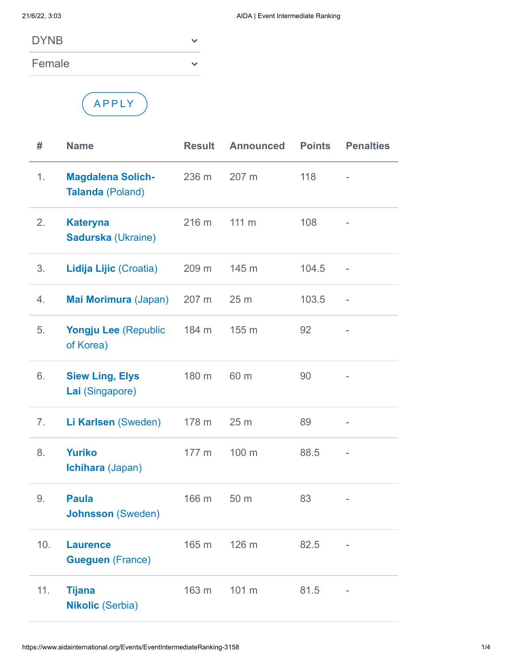Female



| #   | <b>Name</b>                                         | <b>Result</b> | <b>Announced</b> | <b>Points</b> | <b>Penalties</b> |
|-----|-----------------------------------------------------|---------------|------------------|---------------|------------------|
| 1.  | <b>Magdalena Solich-</b><br><b>Talanda (Poland)</b> | 236 m         | 207 m            | 118           |                  |
| 2.  | <b>Kateryna</b><br><b>Sadurska (Ukraine)</b>        | 216 m         | $111 \text{ m}$  | 108           |                  |
| 3.  | Lidija Lijic (Croatia)                              | 209 m         | 145 m            | 104.5         |                  |
| 4.  | Mai Morimura (Japan)                                | 207 m         | 25 <sub>m</sub>  | 103.5         |                  |
| 5.  | Yongju Lee (Republic<br>of Korea)                   | 184 m         | 155 m            | 92            |                  |
| 6.  | <b>Siew Ling, Elys</b><br>Lai (Singapore)           | 180 m         | 60 m             | 90            |                  |
| 7.  | Li Karlsen (Sweden)                                 | 178 m         | 25 m             | 89            |                  |
| 8.  | <b>Yuriko</b><br>Ichihara (Japan)                   | 177 m         | 100 m            | 88.5          |                  |
| 9.  | <b>Paula</b><br><b>Johnsson (Sweden)</b>            | 166 m         | 50 m             | 83            |                  |
| 10. | <b>Laurence</b><br><b>Gueguen (France)</b>          | 165 m         | 126 m            | 82.5          |                  |
| 11. | <b>Tijana</b><br><b>Nikolic (Serbia)</b>            | 163 m         | 101 m            | 81.5          |                  |

 $\checkmark$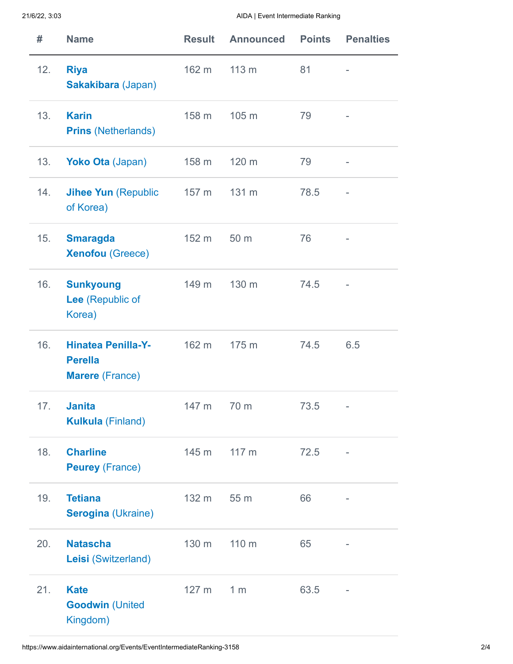## 21/6/22, 3:03 AIDA | Event Intermediate Ranking

| #   | <b>Name</b>                                                           | <b>Result</b> | <b>Announced</b> | <b>Points</b> | <b>Penalties</b> |
|-----|-----------------------------------------------------------------------|---------------|------------------|---------------|------------------|
| 12. | <b>Riya</b><br>Sakakibara (Japan)                                     | 162 m         | 113 <sub>m</sub> | 81            |                  |
| 13. | <b>Karin</b><br><b>Prins (Netherlands)</b>                            | 158 m         | 105 m            | 79            |                  |
| 13. | <b>Yoko Ota (Japan)</b>                                               | 158 m         | 120 m            | 79            |                  |
| 14. | <b>Jihee Yun (Republic</b><br>of Korea)                               | 157 m         | 131 m            | 78.5          |                  |
| 15. | <b>Smaragda</b><br><b>Xenofou</b> (Greece)                            | 152 m         | 50 m             | 76            |                  |
| 16. | <b>Sunkyoung</b><br>Lee (Republic of<br>Korea)                        | 149 m         | 130 m            | 74.5          |                  |
| 16. | <b>Hinatea Penilla-Y-</b><br><b>Perella</b><br><b>Marere</b> (France) | 162 m         | 175 m            | 74.5          | 6.5              |
| 17. | <b>Janita</b><br><b>Kulkula (Finland)</b>                             | 147 m         | 70 m             | 73.5          |                  |
| 18. | <b>Charline</b><br><b>Peurey (France)</b>                             | 145 m         | 117 m            | 72.5          |                  |
| 19. | <b>Tetiana</b><br><b>Serogina (Ukraine)</b>                           | 132 m         | 55 m             | 66            |                  |
| 20. | <b>Natascha</b><br>Leisi (Switzerland)                                | 130 m         | 110 m            | 65            |                  |
| 21. | <b>Kate</b><br><b>Goodwin (United</b><br>Kingdom)                     | 127 m         | 1 <sub>m</sub>   | 63.5          |                  |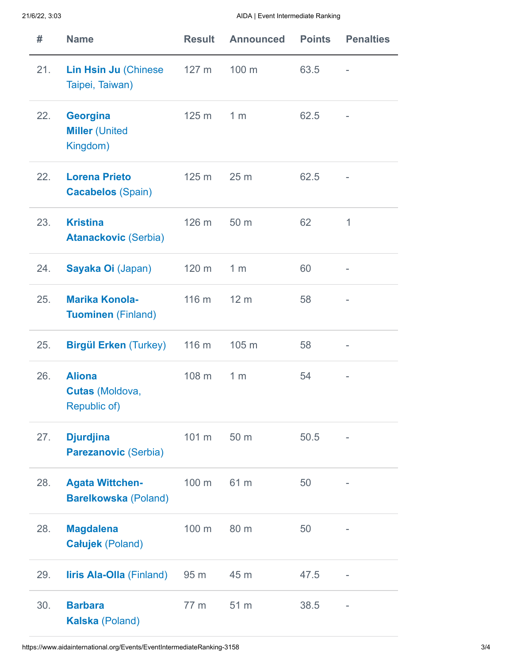21/6/22, 3:03 AIDA | Event Intermediate Ranking

| #   | <b>Name</b>                                             | <b>Result</b>    | <b>Announced</b> | <b>Points</b> | <b>Penalties</b>         |
|-----|---------------------------------------------------------|------------------|------------------|---------------|--------------------------|
| 21. | <b>Lin Hsin Ju (Chinese)</b><br>Taipei, Taiwan)         | 127 <sub>m</sub> | 100 m            | 63.5          |                          |
| 22. | <b>Georgina</b><br><b>Miller (United</b><br>Kingdom)    | 125 <sub>m</sub> | 1 <sub>m</sub>   | 62.5          |                          |
| 22. | <b>Lorena Prieto</b><br><b>Cacabelos (Spain)</b>        | 125 <sub>m</sub> | 25 <sub>m</sub>  | 62.5          |                          |
| 23. | <b>Kristina</b><br><b>Atanackovic (Serbia)</b>          | 126 m            | 50 m             | 62            | 1                        |
| 24. | Sayaka Oi (Japan)                                       | 120 m            | 1 <sub>m</sub>   | 60            | $\overline{\phantom{a}}$ |
| 25. | <b>Marika Konola-</b><br><b>Tuominen (Finland)</b>      | 116 m            | 12 <sub>m</sub>  | 58            | ÷,                       |
| 25. | <b>Birgül Erken (Turkey)</b>                            | 116 m            | 105 m            | 58            |                          |
| 26. | <b>Aliona</b><br>Cutas (Moldova,<br><b>Republic of)</b> | 108 m            | 1 <sub>m</sub>   | 54            |                          |
| 27. | <b>Djurdjina</b><br><b>Parezanovic (Serbia)</b>         | 101 m            | 50 m             | 50.5          |                          |
| 28. | <b>Agata Wittchen-</b><br><b>Barelkowska (Poland)</b>   | 100 m            | 61 m             | 50            |                          |
| 28. | <b>Magdalena</b><br><b>Całujek (Poland)</b>             | 100 m            | 80 m             | 50            |                          |
| 29. | <b>liris Ala-Olla (Finland)</b>                         | 95 m             | 45 m             | 47.5          | $\overline{\phantom{a}}$ |
| 30. | <b>Barbara</b><br><b>Kalska (Poland)</b>                | 77 m             | 51 m             | 38.5          |                          |